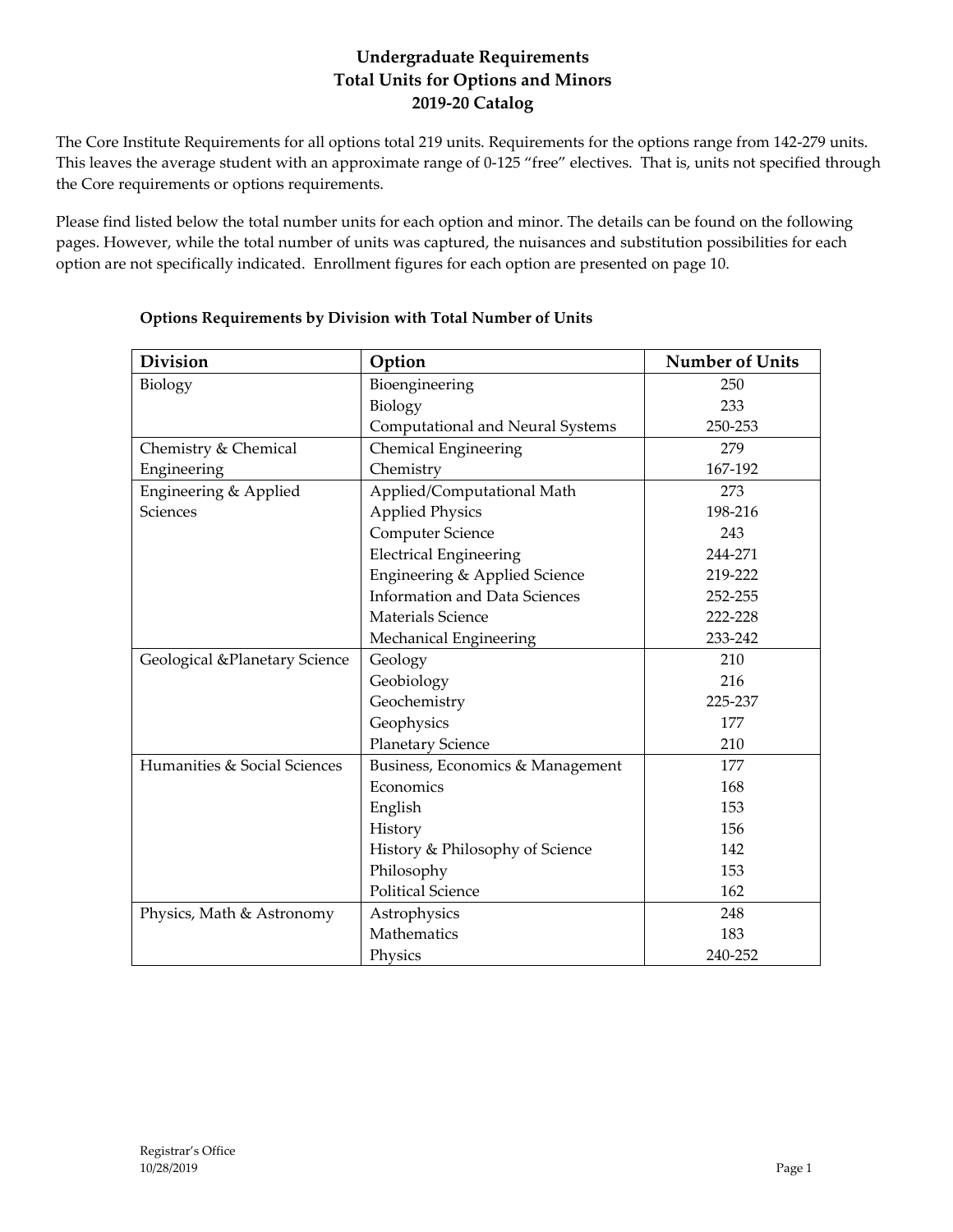### **Undergraduate Requirements Total Units for Options and Minors 2019-20 Catalog**

The Core Institute Requirements for all options total 219 units. Requirements for the options range from 142-279 units. This leaves the average student with an approximate range of 0-125 "free" electives. That is, units not specified through the Core requirements or options requirements.

Please find listed below the total number units for each option and minor. The details can be found on the following pages. However, while the total number of units was captured, the nuisances and substitution possibilities for each option are not specifically indicated. Enrollment figures for each option are presented on page 10.

| <b>Division</b>                | Option                               | <b>Number of Units</b> |
|--------------------------------|--------------------------------------|------------------------|
| Biology                        | Bioengineering                       | 250                    |
|                                | Biology                              | 233                    |
|                                | Computational and Neural Systems     | 250-253                |
| Chemistry & Chemical           | Chemical Engineering                 | 279                    |
| Engineering                    | Chemistry                            | 167-192                |
| Engineering & Applied          | Applied/Computational Math           | 273                    |
| Sciences                       | <b>Applied Physics</b>               | 198-216                |
|                                | Computer Science                     | 243                    |
|                                | <b>Electrical Engineering</b>        | 244-271                |
|                                | Engineering & Applied Science        | 219-222                |
|                                | <b>Information and Data Sciences</b> | 252-255                |
|                                | Materials Science                    | 222-228                |
|                                | Mechanical Engineering               | 233-242                |
| Geological & Planetary Science | Geology                              | 210                    |
|                                | Geobiology                           | 216                    |
|                                | Geochemistry                         | 225-237                |
|                                | Geophysics                           | 177                    |
|                                | <b>Planetary Science</b>             | 210                    |
| Humanities & Social Sciences   | Business, Economics & Management     | 177                    |
|                                | Economics                            | 168                    |
|                                | English                              | 153                    |
|                                | History                              | 156                    |
|                                | History & Philosophy of Science      | 142                    |
|                                | Philosophy                           | 153                    |
|                                | <b>Political Science</b>             | 162                    |
| Physics, Math & Astronomy      | Astrophysics                         | 248                    |
|                                | Mathematics                          | 183                    |
|                                | Physics                              | 240-252                |

#### **Options Requirements by Division with Total Number of Units**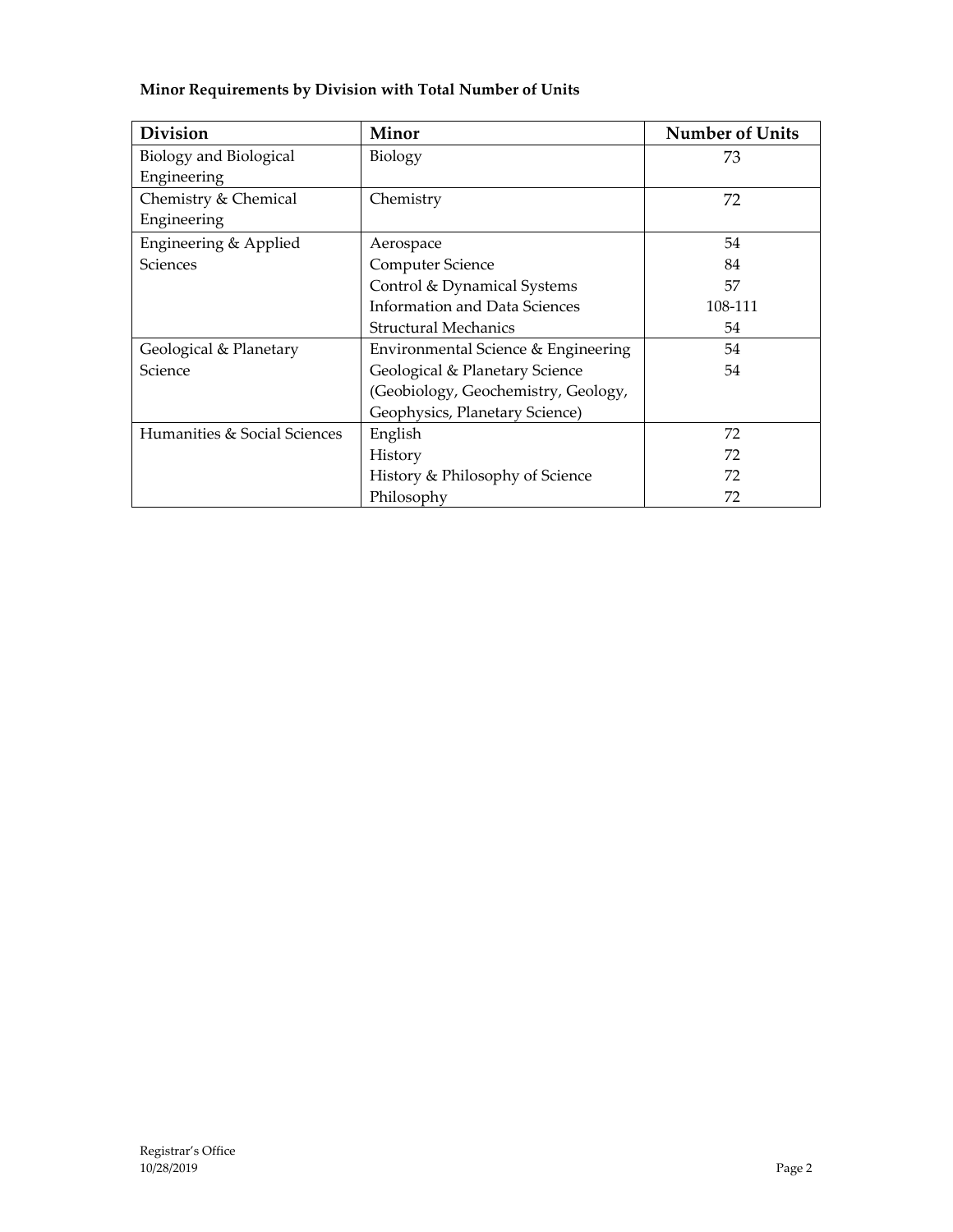# **Minor Requirements by Division with Total Number of Units**

| <b>Division</b>              | Minor                                | Number of Units |
|------------------------------|--------------------------------------|-----------------|
| Biology and Biological       | Biology                              | 73              |
| Engineering                  |                                      |                 |
| Chemistry & Chemical         | Chemistry                            | 72              |
| Engineering                  |                                      |                 |
| Engineering & Applied        | Aerospace                            | 54              |
| <b>Sciences</b>              | Computer Science                     | 84              |
|                              | Control & Dynamical Systems          | 57              |
|                              | <b>Information and Data Sciences</b> | 108-111         |
|                              | <b>Structural Mechanics</b>          | 54              |
| Geological & Planetary       | Environmental Science & Engineering  | 54              |
| <b>Science</b>               | Geological & Planetary Science       | 54              |
|                              | (Geobiology, Geochemistry, Geology,  |                 |
|                              | Geophysics, Planetary Science)       |                 |
| Humanities & Social Sciences | English                              | 72              |
|                              | History                              | 72              |
|                              | History & Philosophy of Science      | 72              |
|                              | Philosophy                           | 72              |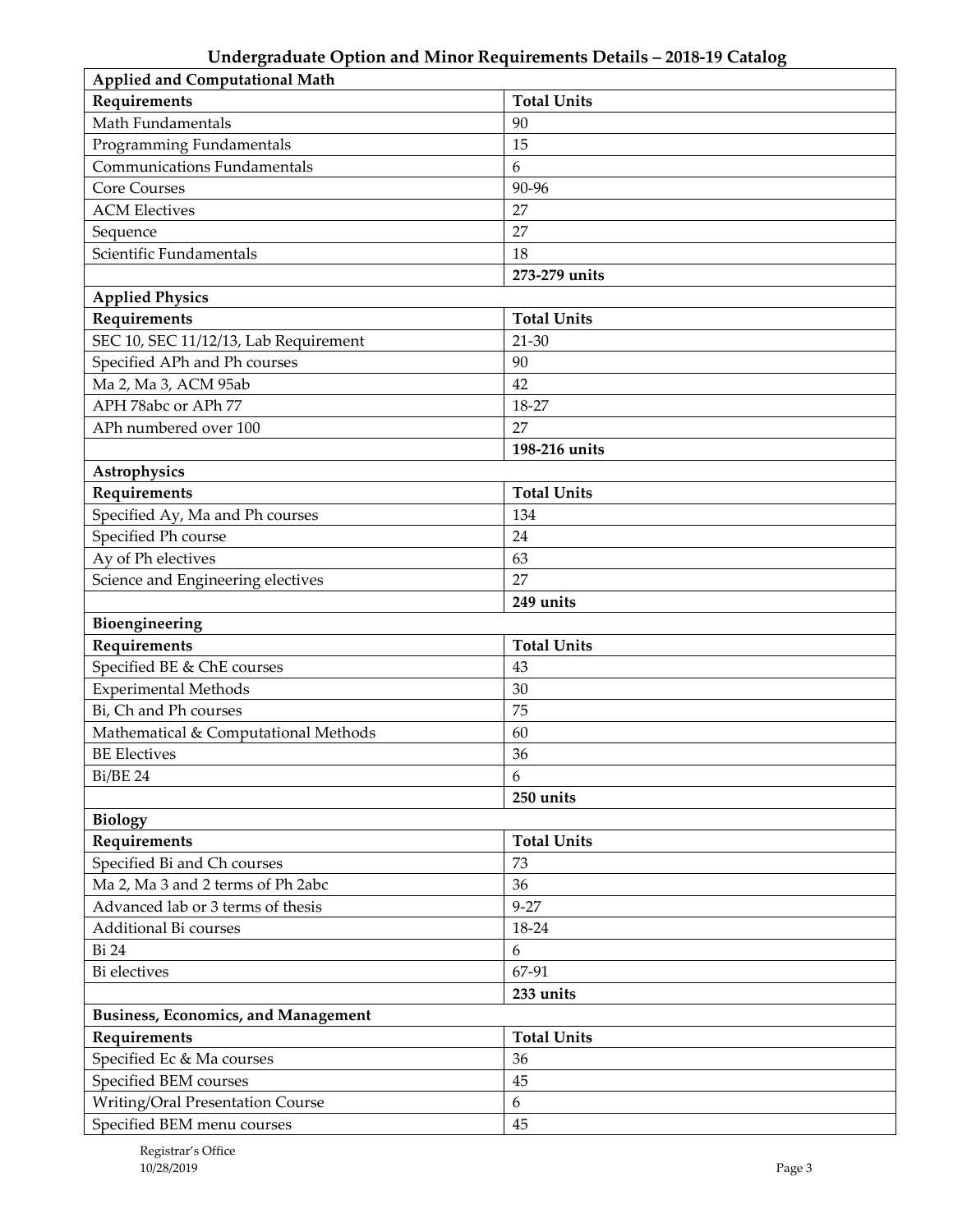| <b>Applied and Computational Math</b>      |                    |  |
|--------------------------------------------|--------------------|--|
| Requirements                               | <b>Total Units</b> |  |
| Math Fundamentals                          | 90                 |  |
| Programming Fundamentals                   | 15                 |  |
| <b>Communications Fundamentals</b>         | 6                  |  |
| <b>Core Courses</b>                        | 90-96              |  |
| <b>ACM Electives</b>                       | 27                 |  |
| Sequence                                   | 27                 |  |
| Scientific Fundamentals                    | 18                 |  |
|                                            | 273-279 units      |  |
| <b>Applied Physics</b>                     |                    |  |
| Requirements                               | <b>Total Units</b> |  |
| SEC 10, SEC 11/12/13, Lab Requirement      | $21 - 30$          |  |
| Specified APh and Ph courses               | 90                 |  |
| Ma 2, Ma 3, ACM 95ab                       | 42                 |  |
| APH 78abc or APh 77                        | 18-27              |  |
| APh numbered over 100                      | 27                 |  |
|                                            | 198-216 units      |  |
| Astrophysics                               |                    |  |
| Requirements                               | <b>Total Units</b> |  |
| Specified Ay, Ma and Ph courses            | 134                |  |
| Specified Ph course                        | 24                 |  |
| Ay of Ph electives                         | 63                 |  |
| Science and Engineering electives          | 27                 |  |
|                                            | 249 units          |  |
| Bioengineering                             |                    |  |
| Requirements                               | <b>Total Units</b> |  |
| Specified BE & ChE courses                 | 43                 |  |
| <b>Experimental Methods</b>                | 30                 |  |
| Bi, Ch and Ph courses                      | 75                 |  |
| Mathematical & Computational Methods       | 60                 |  |
| <b>BE Electives</b>                        | 36                 |  |
| <b>Bi/BE 24</b>                            | 6                  |  |
|                                            | 250 units          |  |
| <b>Biology</b>                             |                    |  |
| Requirements                               | <b>Total Units</b> |  |
| Specified Bi and Ch courses                | 73                 |  |
| Ma 2, Ma 3 and 2 terms of Ph 2abc          | 36                 |  |
| Advanced lab or 3 terms of thesis          | $9 - 27$           |  |
| Additional Bi courses                      | 18-24              |  |
| <b>Bi</b> 24                               | 6                  |  |
| Bi electives                               | 67-91              |  |
|                                            | 233 units          |  |
| <b>Business, Economics, and Management</b> |                    |  |
| Requirements                               | <b>Total Units</b> |  |
| Specified Ec & Ma courses                  | 36                 |  |
| Specified BEM courses                      | 45                 |  |
| Writing/Oral Presentation Course           | 6                  |  |
| Specified BEM menu courses                 | 45                 |  |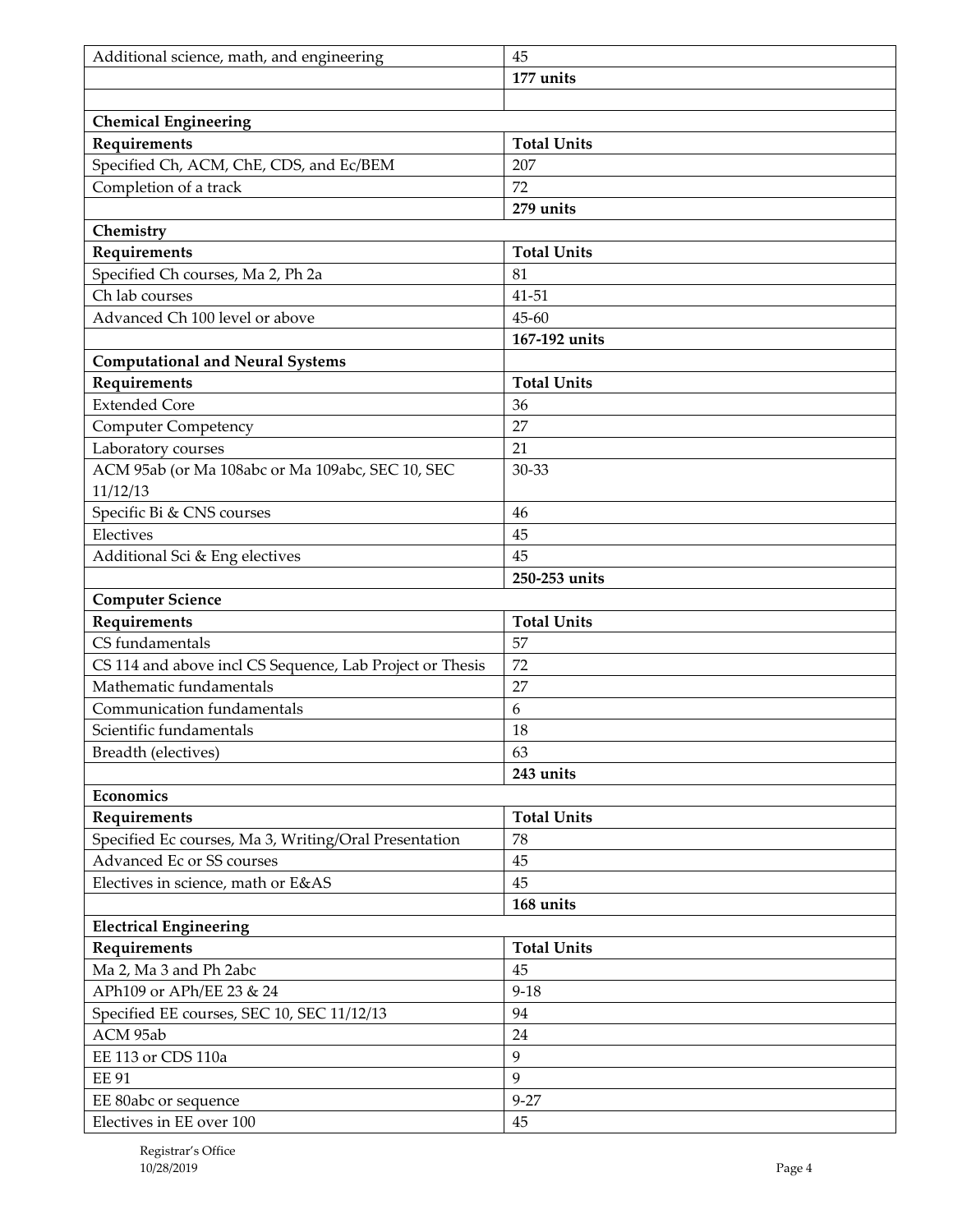|                                                          | 45                 |
|----------------------------------------------------------|--------------------|
| Additional science, math, and engineering                |                    |
|                                                          | 177 units          |
|                                                          |                    |
| <b>Chemical Engineering</b>                              |                    |
| Requirements                                             | <b>Total Units</b> |
| Specified Ch, ACM, ChE, CDS, and Ec/BEM                  | 207                |
| Completion of a track                                    | 72                 |
|                                                          | 279 units          |
| Chemistry                                                |                    |
| Requirements                                             | <b>Total Units</b> |
| Specified Ch courses, Ma 2, Ph 2a                        | 81                 |
| Ch lab courses                                           | 41-51              |
| Advanced Ch 100 level or above                           | 45-60              |
|                                                          | 167-192 units      |
| <b>Computational and Neural Systems</b>                  |                    |
| Requirements                                             | <b>Total Units</b> |
| <b>Extended Core</b>                                     | 36                 |
| <b>Computer Competency</b>                               | 27                 |
| Laboratory courses                                       | 21                 |
| ACM 95ab (or Ma 108abc or Ma 109abc, SEC 10, SEC         | 30-33              |
| 11/12/13                                                 |                    |
| Specific Bi & CNS courses                                | 46                 |
| Electives                                                | 45                 |
| Additional Sci & Eng electives                           | 45                 |
|                                                          | 250-253 units      |
| <b>Computer Science</b>                                  |                    |
| Requirements                                             | <b>Total Units</b> |
| CS fundamentals                                          | 57                 |
|                                                          | 72                 |
| CS 114 and above incl CS Sequence, Lab Project or Thesis |                    |
| Mathematic fundamentals                                  | 27                 |
| Communication fundamentals                               | 6                  |
| Scientific fundamentals                                  | 18                 |
| Breadth (electives)                                      | 63                 |
|                                                          | 243 units          |
| Economics                                                |                    |
| Requirements                                             | <b>Total Units</b> |
| Specified Ec courses, Ma 3, Writing/Oral Presentation    | 78                 |
| Advanced Ec or SS courses                                | 45                 |
| Electives in science, math or E&AS                       | 45                 |
|                                                          | 168 units          |
| <b>Electrical Engineering</b>                            |                    |
| Requirements                                             | <b>Total Units</b> |
| Ma 2, Ma 3 and Ph 2abc                                   | 45                 |
| APh109 or APh/EE 23 & 24                                 | $9-18$             |
| Specified EE courses, SEC 10, SEC 11/12/13               | 94                 |
| ACM 95ab                                                 | 24                 |
| EE 113 or CDS 110a                                       | 9                  |
| <b>EE 91</b>                                             | 9                  |
| EE 80abc or sequence                                     | $9 - 27$           |
| Electives in EE over 100                                 | 45                 |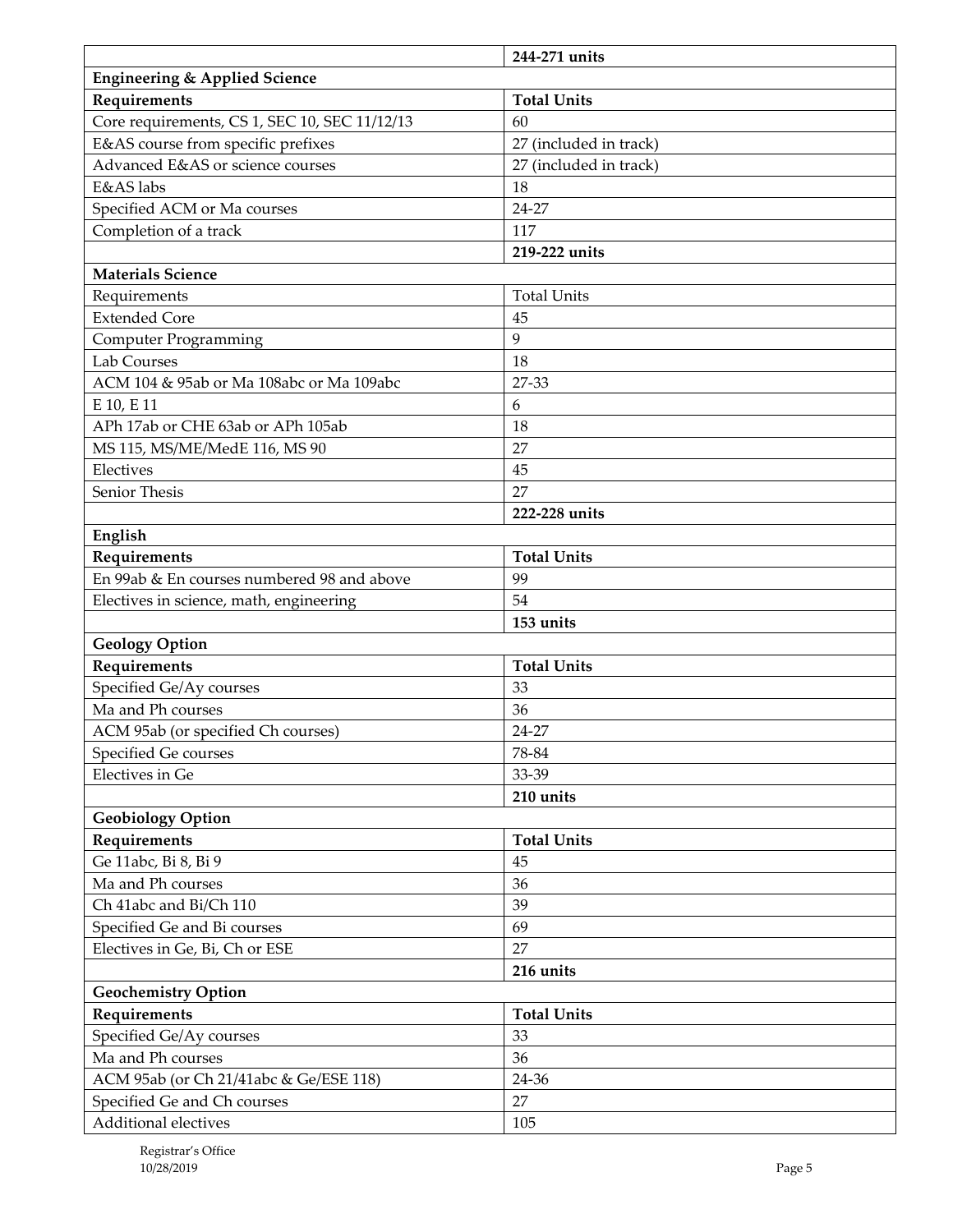|                                               | 244-271 units          |  |  |
|-----------------------------------------------|------------------------|--|--|
| <b>Engineering &amp; Applied Science</b>      |                        |  |  |
| Requirements                                  | <b>Total Units</b>     |  |  |
| Core requirements, CS 1, SEC 10, SEC 11/12/13 | 60                     |  |  |
| E&AS course from specific prefixes            | 27 (included in track) |  |  |
| Advanced E&AS or science courses              | 27 (included in track) |  |  |
| E&AS labs                                     | 18                     |  |  |
| Specified ACM or Ma courses                   | 24-27                  |  |  |
| Completion of a track                         | 117                    |  |  |
|                                               | 219-222 units          |  |  |
| <b>Materials Science</b>                      |                        |  |  |
| Requirements                                  | <b>Total Units</b>     |  |  |
| <b>Extended Core</b>                          | 45                     |  |  |
| <b>Computer Programming</b>                   | 9                      |  |  |
| <b>Lab Courses</b>                            | 18                     |  |  |
| ACM 104 & 95ab or Ma 108abc or Ma 109abc      | 27-33                  |  |  |
| E 10, E 11                                    | 6                      |  |  |
| APh 17ab or CHE 63ab or APh 105ab             | 18                     |  |  |
| MS 115, MS/ME/MedE 116, MS 90                 | 27                     |  |  |
| Electives                                     | 45                     |  |  |
| Senior Thesis                                 | 27                     |  |  |
|                                               | 222-228 units          |  |  |
| English                                       |                        |  |  |
| Requirements                                  | <b>Total Units</b>     |  |  |
| En 99ab & En courses numbered 98 and above    | 99                     |  |  |
| Electives in science, math, engineering       | 54                     |  |  |
|                                               | 153 units              |  |  |
| <b>Geology Option</b>                         |                        |  |  |
| Requirements                                  | <b>Total Units</b>     |  |  |
| Specified Ge/Ay courses                       | 33                     |  |  |
| Ma and Ph courses                             | 36                     |  |  |
| ACM 95ab (or specified Ch courses)            | 24-27                  |  |  |
| Specified Ge courses                          | 78-84                  |  |  |
| Electives in Ge                               | 33-39                  |  |  |
|                                               | 210 units              |  |  |
| <b>Geobiology Option</b>                      |                        |  |  |
| Requirements                                  | <b>Total Units</b>     |  |  |
| Ge 11abc, Bi 8, Bi 9                          | 45                     |  |  |
| Ma and Ph courses                             | 36                     |  |  |
| Ch 41abc and Bi/Ch 110                        | 39                     |  |  |
| Specified Ge and Bi courses                   | 69                     |  |  |
| Electives in Ge, Bi, Ch or ESE                | 27                     |  |  |
|                                               | 216 units              |  |  |
| <b>Geochemistry Option</b>                    |                        |  |  |
| Requirements                                  | <b>Total Units</b>     |  |  |
| Specified Ge/Ay courses                       | 33                     |  |  |
| Ma and Ph courses                             | 36                     |  |  |
| ACM 95ab (or Ch 21/41abc & Ge/ESE 118)        | 24-36                  |  |  |
| Specified Ge and Ch courses                   | 27                     |  |  |
| Additional electives                          | 105                    |  |  |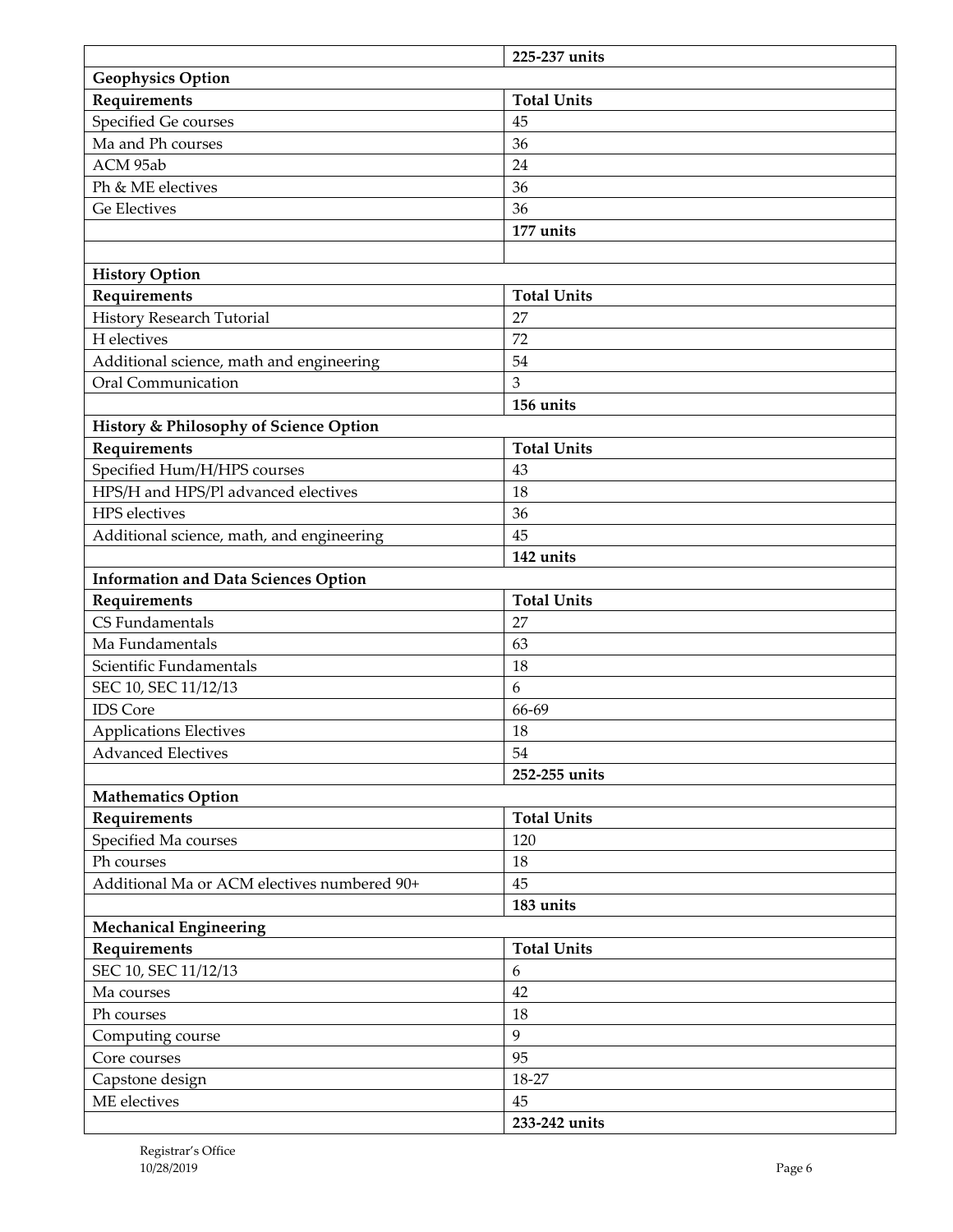|                                             | 225-237 units      |  |  |
|---------------------------------------------|--------------------|--|--|
| <b>Geophysics Option</b>                    |                    |  |  |
| Requirements                                | <b>Total Units</b> |  |  |
| Specified Ge courses                        | 45                 |  |  |
| Ma and Ph courses                           | 36                 |  |  |
| ACM 95ab                                    | 24                 |  |  |
| Ph & ME electives                           | 36                 |  |  |
| <b>Ge Electives</b>                         | 36                 |  |  |
|                                             | 177 units          |  |  |
|                                             |                    |  |  |
| <b>History Option</b>                       |                    |  |  |
| Requirements                                | <b>Total Units</b> |  |  |
| History Research Tutorial                   | 27                 |  |  |
| H electives                                 | 72                 |  |  |
| Additional science, math and engineering    | 54                 |  |  |
| Oral Communication                          | $\mathfrak{Z}$     |  |  |
|                                             | 156 units          |  |  |
| History & Philosophy of Science Option      |                    |  |  |
| Requirements                                | <b>Total Units</b> |  |  |
| Specified Hum/H/HPS courses                 | 43                 |  |  |
| HPS/H and HPS/Pl advanced electives         | 18                 |  |  |
| <b>HPS</b> electives                        | 36                 |  |  |
| Additional science, math, and engineering   | 45                 |  |  |
|                                             | 142 units          |  |  |
| <b>Information and Data Sciences Option</b> |                    |  |  |
| Requirements                                | <b>Total Units</b> |  |  |
| CS Fundamentals                             | 27                 |  |  |
| Ma Fundamentals                             | 63                 |  |  |
| Scientific Fundamentals                     | 18                 |  |  |
| SEC 10, SEC 11/12/13                        | 6                  |  |  |
| <b>IDS</b> Core                             | 66-69              |  |  |
| <b>Applications Electives</b>               | 18                 |  |  |
| <b>Advanced Electives</b>                   | 54                 |  |  |
|                                             | 252-255 units      |  |  |
| <b>Mathematics Option</b>                   |                    |  |  |
| Requirements                                | <b>Total Units</b> |  |  |
| Specified Ma courses                        | 120                |  |  |
| Ph courses                                  | 18                 |  |  |
| Additional Ma or ACM electives numbered 90+ | 45                 |  |  |
|                                             | 183 units          |  |  |
| <b>Mechanical Engineering</b>               |                    |  |  |
| Requirements                                | <b>Total Units</b> |  |  |
| SEC 10, SEC 11/12/13                        | $\boldsymbol{6}$   |  |  |
| Ma courses                                  | 42                 |  |  |
| Ph courses                                  | 18                 |  |  |
| Computing course                            | 9                  |  |  |
| Core courses                                | 95                 |  |  |
| Capstone design                             | 18-27              |  |  |
| ME electives                                | 45                 |  |  |
|                                             | 233-242 units      |  |  |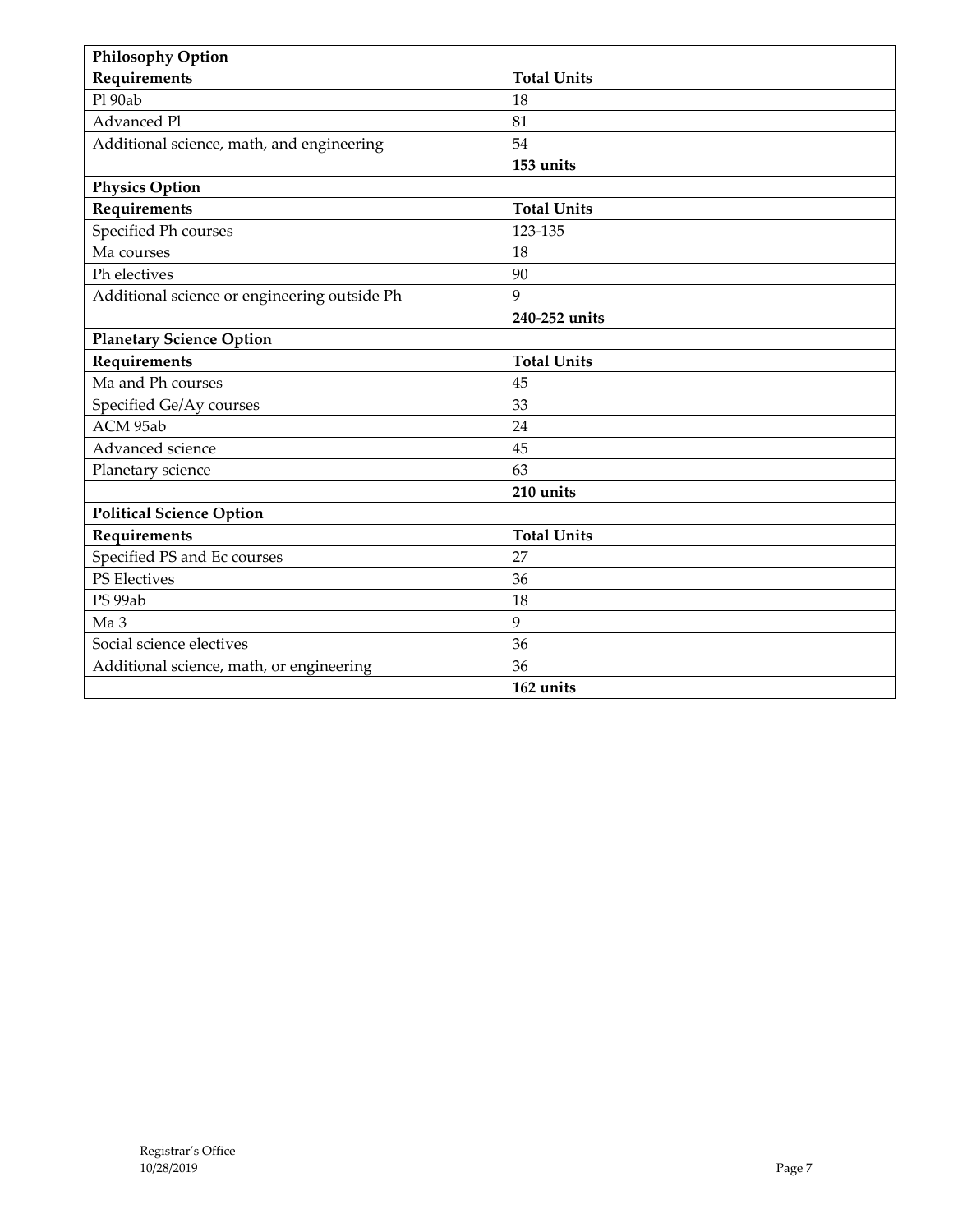| <b>Philosophy Option</b>                     |                    |  |
|----------------------------------------------|--------------------|--|
| Requirements                                 | <b>Total Units</b> |  |
| Pl 90ab                                      | 18                 |  |
| Advanced Pl                                  | 81                 |  |
| Additional science, math, and engineering    | 54                 |  |
|                                              | 153 units          |  |
| <b>Physics Option</b>                        |                    |  |
| Requirements                                 | <b>Total Units</b> |  |
| Specified Ph courses                         | 123-135            |  |
| Ma courses                                   | 18                 |  |
| Ph electives                                 | 90                 |  |
| Additional science or engineering outside Ph | 9                  |  |
|                                              | 240-252 units      |  |
| <b>Planetary Science Option</b>              |                    |  |
| Requirements                                 | <b>Total Units</b> |  |
| Ma and Ph courses                            | 45                 |  |
| Specified Ge/Ay courses                      | 33                 |  |
| ACM 95ab                                     | 24                 |  |
| Advanced science                             | 45                 |  |
| Planetary science                            | 63                 |  |
|                                              | 210 units          |  |
| <b>Political Science Option</b>              |                    |  |
| Requirements                                 | <b>Total Units</b> |  |
| Specified PS and Ec courses                  | 27                 |  |
| <b>PS Electives</b>                          | 36                 |  |
| PS 99ab                                      | 18                 |  |
| Ma <sub>3</sub>                              | 9                  |  |
| Social science electives                     | 36                 |  |
| Additional science, math, or engineering     | 36                 |  |
|                                              | 162 units          |  |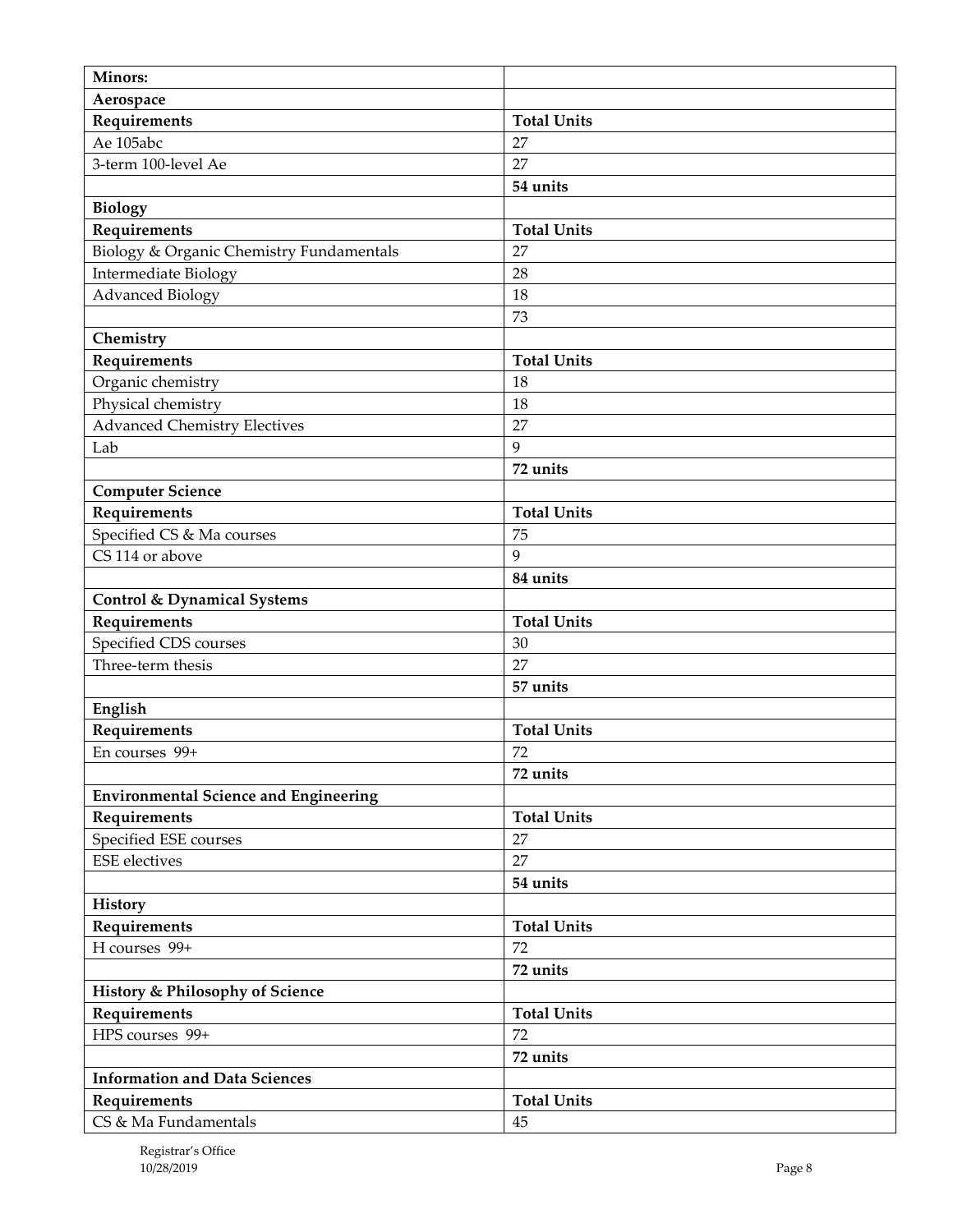| Minors:                                      |                    |
|----------------------------------------------|--------------------|
| Aerospace                                    |                    |
| Requirements                                 | <b>Total Units</b> |
| Ae 105abc                                    | 27                 |
| 3-term 100-level Ae                          | 27                 |
|                                              | 54 units           |
| <b>Biology</b>                               |                    |
| Requirements                                 | <b>Total Units</b> |
| Biology & Organic Chemistry Fundamentals     | 27                 |
| <b>Intermediate Biology</b>                  | 28                 |
| <b>Advanced Biology</b>                      | 18                 |
|                                              | 73                 |
| Chemistry                                    |                    |
| Requirements                                 | <b>Total Units</b> |
| Organic chemistry                            | 18                 |
| Physical chemistry                           | 18                 |
| <b>Advanced Chemistry Electives</b>          | 27                 |
| Lab                                          | 9                  |
|                                              | 72 units           |
| <b>Computer Science</b>                      |                    |
| Requirements                                 | <b>Total Units</b> |
| Specified CS & Ma courses                    | 75                 |
| CS 114 or above                              | 9                  |
|                                              | 84 units           |
| <b>Control &amp; Dynamical Systems</b>       |                    |
| Requirements                                 | <b>Total Units</b> |
| Specified CDS courses                        | 30                 |
| Three-term thesis                            | 27                 |
|                                              | 57 units           |
| English                                      |                    |
| Requirements                                 | <b>Total Units</b> |
| En courses 99+                               | 72                 |
|                                              | 72 units           |
| <b>Environmental Science and Engineering</b> |                    |
| Requirements                                 | <b>Total Units</b> |
| Specified ESE courses                        | 27                 |
| <b>ESE</b> electives                         | 27                 |
|                                              | 54 units           |
| History                                      |                    |
| Requirements                                 | <b>Total Units</b> |
| H courses 99+                                | 72                 |
|                                              | 72 units           |
| History & Philosophy of Science              |                    |
| Requirements                                 | <b>Total Units</b> |
| HPS courses 99+                              | 72                 |
|                                              | 72 units           |
| <b>Information and Data Sciences</b>         |                    |
| Requirements                                 | <b>Total Units</b> |
| CS & Ma Fundamentals                         | 45                 |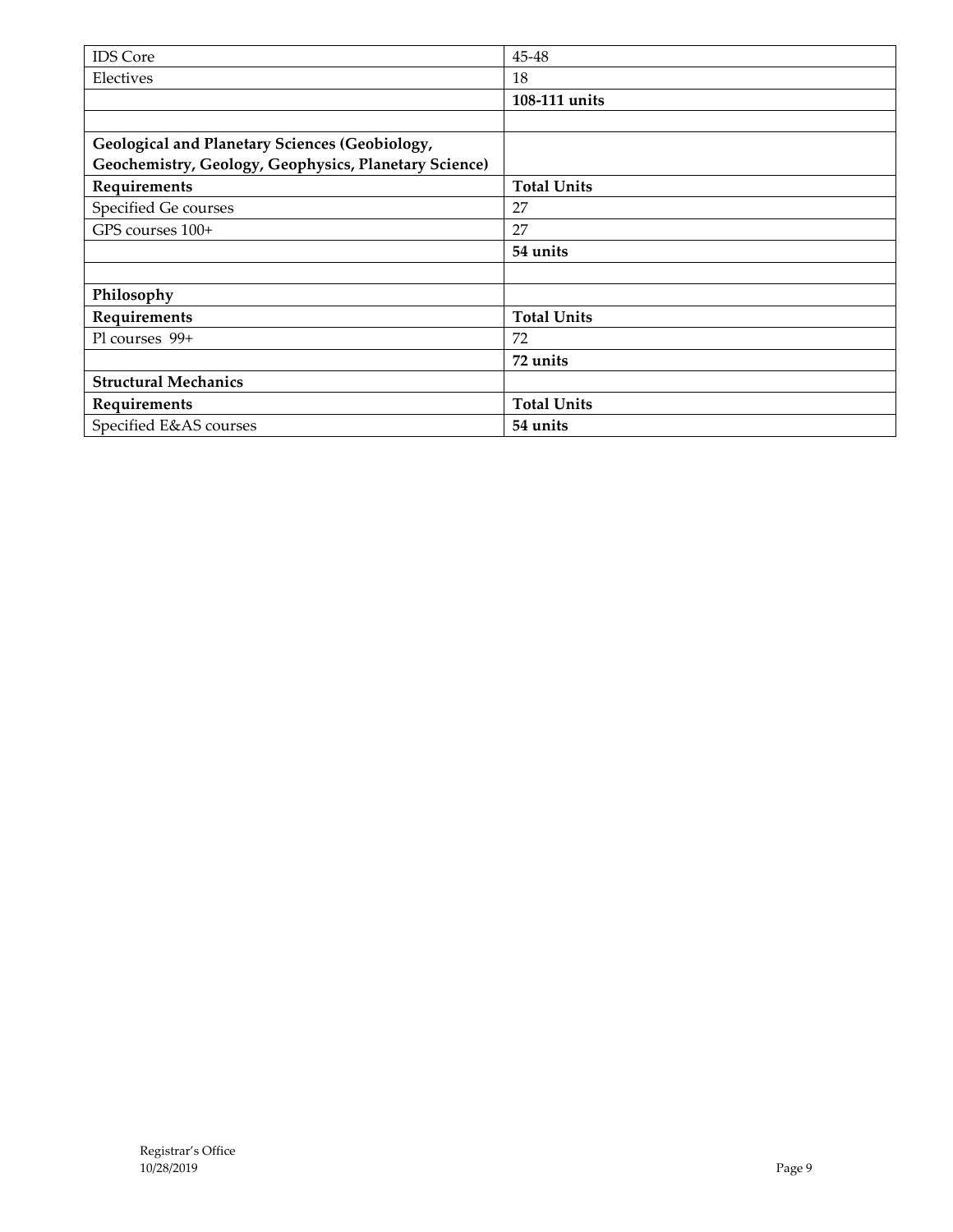| <b>IDS</b> Core                                       | 45-48              |
|-------------------------------------------------------|--------------------|
| Electives                                             | 18                 |
|                                                       | 108-111 units      |
|                                                       |                    |
| <b>Geological and Planetary Sciences (Geobiology,</b> |                    |
| Geochemistry, Geology, Geophysics, Planetary Science) |                    |
| Requirements                                          | <b>Total Units</b> |
| Specified Ge courses                                  | 27                 |
| GPS courses 100+                                      | 27                 |
|                                                       | 54 units           |
|                                                       |                    |
| Philosophy                                            |                    |
| Requirements                                          | <b>Total Units</b> |
| Pl courses 99+                                        | 72                 |
|                                                       | 72 units           |
| <b>Structural Mechanics</b>                           |                    |
| Requirements                                          | <b>Total Units</b> |
| Specified E&AS courses                                | 54 units           |